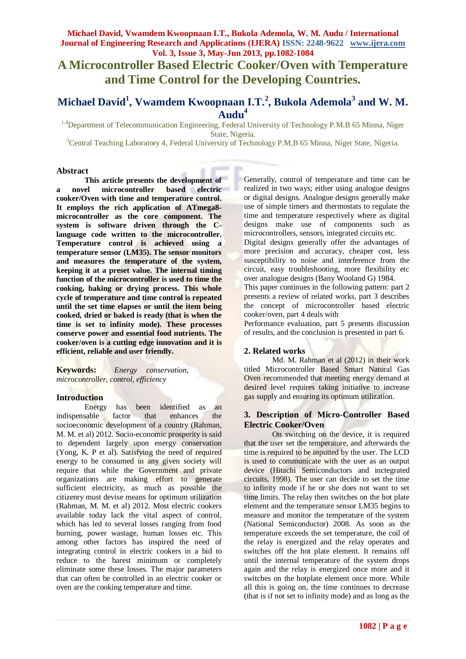# **Michael David, Vwamdem Kwoopnaan I.T., Bukola Ademola, W. M. Audu / International Journal of Engineering Research and Applications (IJERA) ISSN: 2248-9622 www.ijera.com Vol. 3, Issue 3, May-Jun 2013, pp.1082-1084**

**A Microcontroller Based Electric Cooker/Oven with Temperature and Time Control for the Developing Countries.**

# **Michael David<sup>1</sup> , Vwamdem Kwoopnaan I.T.<sup>2</sup> , Bukola Ademola<sup>3</sup> and W. M. Audu<sup>4</sup>**

<sup>1,4</sup>Department of Telecommunication Engineering, Federal University of Technology P.M.B 65 Minna, Niger State, Nigeria.

<sup>3</sup>Central Teaching Laboratory 4, Federal University of Technology P.M.B 65 Minna, Niger State, Nigeria.

#### **Abstract**

**This article presents the development of a novel microcontroller based electric cooker/Oven with time and temperature control. It employs the rich application of ATmega8 microcontroller as the core component. The system is software driven through the Clanguage code written to the microcontroller. Temperature control is achieved using a temperature sensor (LM35). The sensor monitors and measures the temperature of the system, keeping it at a preset value. The internal timing function of the microcontroller is used to time the cooking, baking or drying process. This whole cycle of temperature and time control is repeated until the set time elapses or until the item being cooked, dried or baked is ready (that is when the time is set to infinity mode). These processes conserve power and essential food nutrients. The cooker/oven is a cutting edge innovation and it is efficient, reliable and user friendly.** 

**Keywords:** *Energy conservation, microcontroller, control, efficiency*

## **Introduction**

Energy has been identified as an indispensable factor that enhances the socioeconomic development of a country (Rahman, M. M. et al) 2012. Socio-economic prosperity is said to dependent largely upon energy conservation (Yong, K. P et al). Satisfying the need of required energy to be consumed in any given society will require that while the Government and private organizations are making effort to generate sufficient electricity, as much as possible the citizenry must devise means for optimum utilization (Rahman, M. M. et al) 2012. Most electric cookers available today lack the vital aspect of control, which has led to several losses ranging from food burning, power wastage, human losses etc. This among other factors has inspired the need of integrating control in electric cookers in a bid to reduce to the barest minimum or completely eliminate some these losses. The major parameters that can often be controlled in an electric cooker or oven are the cooking temperature and time.

Generally, control of temperature and time can be realized in two ways; either using analogue designs or digital designs. Analogue designs generally make use of simple timers and thermostats to regulate the time and temperature respectively where as digital designs make use of components such as microcontrollers, sensors, integrated circuits etc.

Digital designs generally offer the advantages of more precision and accuracy, cheaper cost, less susceptibility to noise and interference from the circuit, easy troubleshooting, more flexibility etc over analogue designs (Bany Wooland G) 1984.

This paper continues in the following pattern: part 2 presents a review of related works, part 3 describes the concept of microcontroller based electric cooker/oven, part 4 deals with

Performance evaluation, part 5 presents discussion of results, and the conclusion is presented in part 6.

## **2. Related works**

Md. M. Rahman et al (2012) in their work titled Microcontroller Based Smart Natural Gas Oven recommended that meeting energy demand at desired level requires taking initiative to increase gas supply and ensuring its optimum utilization.

## **3. Description of Micro-Controller Based Electric Cooker/Oven**

On switching on the device, it is required that the user set the temperature, and afterwards the time is required to be inputted by the user. The LCD is used to communicate with the user as an output device (Hitachi Semiconductors and inctegrated circuits, 1998). The user can decide to set the time to infinity mode if he or she does not want to set time limits. The relay then switches on the hot plate element and the temperature sensor LM35 begins to measure and monitor the temperature of the system (National Semiconductor) 2008. As soon as the temperature exceeds the set temperature, the coil of the relay is energized and the relay operates and switches off the hot plate element. It remains off until the internal temperature of the system drops again and the relay is energized once more and it switches on the hotplate element once more. While all this is going on, the time continues to decrease (that is if not set to infinity mode) and as long as the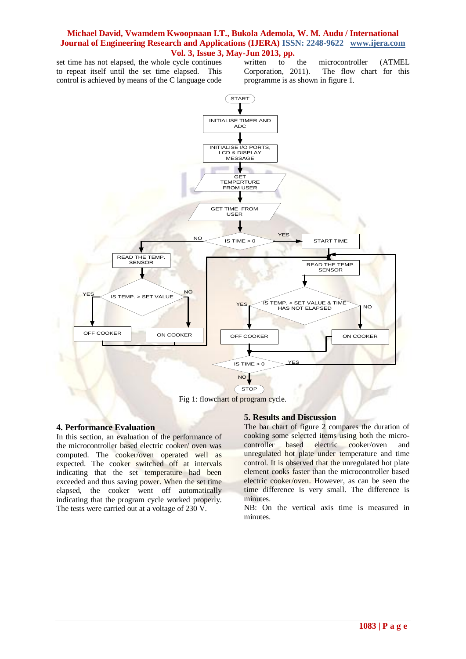## **Michael David, Vwamdem Kwoopnaan I.T., Bukola Ademola, W. M. Audu / International Journal of Engineering Research and Applications (IJERA) ISSN: 2248-9622 www.ijera.com Vol. 3, Issue 3, May-Jun 2013, pp.**

set time has not elapsed, the whole cycle continues to repeat itself until the set time elapsed. This control is achieved by means of the C language code written to the microcontroller (ATMEL Corporation, 2011). The flow chart for this programme is as shown in figure 1.



# **4. Performance Evaluation**

In this section, an evaluation of the performance of the microcontroller based electric cooker/ oven was computed. The cooker/oven operated well as expected. The cooker switched off at intervals indicating that the set temperature had been exceeded and thus saving power. When the set time elapsed, the cooker went off automatically indicating that the program cycle worked properly. The tests were carried out at a voltage of 230 V.

## **5. Results and Discussion**

The bar chart of figure 2 compares the duration of cooking some selected items using both the microcontroller based electric cooker/oven and unregulated hot plate under temperature and time control. It is observed that the unregulated hot plate element cooks faster than the microcontroller based electric cooker/oven. However, as can be seen the time difference is very small. The difference is minutes.

NB: On the vertical axis time is measured in minutes.